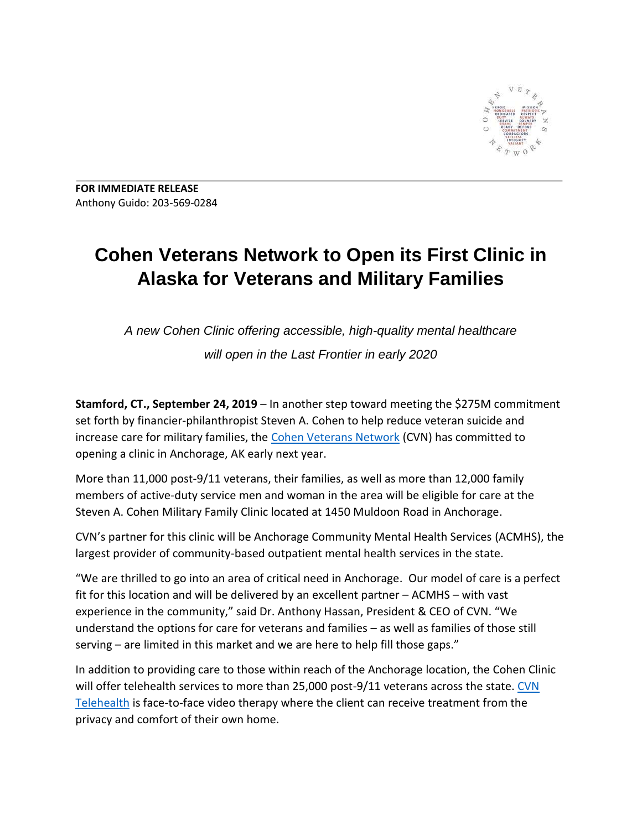

**FOR IMMEDIATE RELEASE** Anthony Guido: 203-569-0284

## **Cohen Veterans Network to Open its First Clinic in Alaska for Veterans and Military Families**

*A new Cohen Clinic offering accessible, high-quality mental healthcare will open in the Last Frontier in early 2020*

**Stamford, CT., September 24, 2019** – In another step toward meeting the \$275M commitment set forth by financier-philanthropist Steven A. Cohen to help reduce veteran suicide and increase care for military families, the [Cohen Veterans Network](https://www.cohenveteransnetwork.org/) (CVN) has committed to opening a clinic in Anchorage, AK early next year.

More than 11,000 post-9/11 veterans, their families, as well as more than 12,000 family members of active-duty service men and woman in the area will be eligible for care at the Steven A. Cohen Military Family Clinic located at 1450 Muldoon Road in Anchorage.

CVN's partner for this clinic will be Anchorage Community Mental Health Services (ACMHS), the largest provider of community-based outpatient mental health services in the state.

"We are thrilled to go into an area of critical need in Anchorage. Our model of care is a perfect fit for this location and will be delivered by an excellent partner – ACMHS – with vast experience in the community," said Dr. Anthony Hassan, President & CEO of CVN. "We understand the options for care for veterans and families – as well as families of those still serving – are limited in this market and we are here to help fill those gaps."

In addition to providing care to those within reach of the Anchorage location, the Cohen Clinic will offer telehealth services to more than 25,000 post-9/11 veterans across the state. CVN [Telehealth](https://www.cohenveteransnetwork.org/telehealth/) is face-to-face video therapy where the client can receive treatment from the privacy and comfort of their own home.